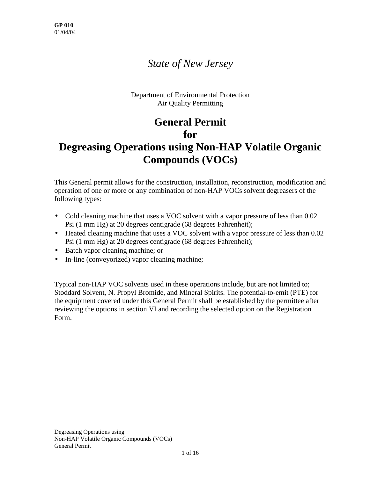## *State of New Jersey*

Department of Environmental Protection Air Quality Permitting

# **General Permit for**

## **Degreasing Operations using Non-HAP Volatile Organic Compounds (VOCs)**

This General permit allows for the construction, installation, reconstruction, modification and operation of one or more or any combination of non-HAP VOCs solvent degreasers of the following types:

- Cold cleaning machine that uses a VOC solvent with a vapor pressure of less than 0.02 Psi (1 mm Hg) at 20 degrees centigrade (68 degrees Fahrenheit);
- Heated cleaning machine that uses a VOC solvent with a vapor pressure of less than 0.02 Psi (1 mm Hg) at 20 degrees centigrade (68 degrees Fahrenheit);
- Batch vapor cleaning machine; or
- In-line (conveyorized) vapor cleaning machine;

Typical non-HAP VOC solvents used in these operations include, but are not limited to; Stoddard Solvent, N. Propyl Bromide, and Mineral Spirits. The potential-to-emit (PTE) for the equipment covered under this General Permit shall be established by the permittee after reviewing the options in section VI and recording the selected option on the Registration Form.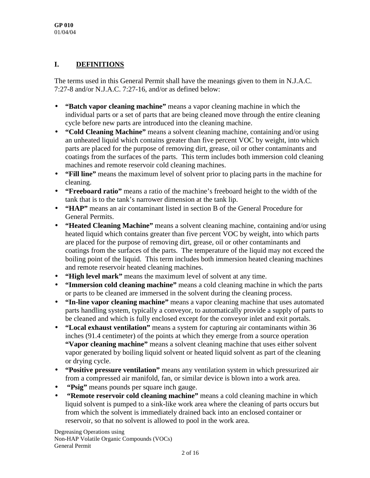#### **I. DEFINITIONS**

The terms used in this General Permit shall have the meanings given to them in N.J.A.C. 7:27-8 and/or N.J.A.C. 7:27-16, and/or as defined below:

- **"Batch vapor cleaning machine"** means a vapor cleaning machine in which the individual parts or a set of parts that are being cleaned move through the entire cleaning cycle before new parts are introduced into the cleaning machine.
- **"Cold Cleaning Machine"** means a solvent cleaning machine, containing and/or using an unheated liquid which contains greater than five percent VOC by weight, into which parts are placed for the purpose of removing dirt, grease, oil or other contaminants and coatings from the surfaces of the parts. This term includes both immersion cold cleaning machines and remote reservoir cold cleaning machines.
- **"Fill line"** means the maximum level of solvent prior to placing parts in the machine for cleaning.
- **"Freeboard ratio"** means a ratio of the machine's freeboard height to the width of the tank that is to the tank's narrower dimension at the tank lip.
- **"HAP"** means an air contaminant listed in section B of the General Procedure for General Permits.
- **"Heated Cleaning Machine"** means a solvent cleaning machine, containing and/or using heated liquid which contains greater than five percent VOC by weight, into which parts are placed for the purpose of removing dirt, grease, oil or other contaminants and coatings from the surfaces of the parts. The temperature of the liquid may not exceed the boiling point of the liquid. This term includes both immersion heated cleaning machines and remote reservoir heated cleaning machines.
- **"High level mark"** means the maximum level of solvent at any time.
- **"Immersion cold cleaning machine"** means a cold cleaning machine in which the parts or parts to be cleaned are immersed in the solvent during the cleaning process.
- **"In-line vapor cleaning machine"** means a vapor cleaning machine that uses automated parts handling system, typically a conveyor, to automatically provide a supply of parts to be cleaned and which is fully enclosed except for the conveyor inlet and exit portals.
- **"Local exhaust ventilation"** means a system for capturing air contaminants within 36 inches (91.4 centimeter) of the points at which they emerge from a source operation **"Vapor cleaning machine"** means a solvent cleaning machine that uses either solvent vapor generated by boiling liquid solvent or heated liquid solvent as part of the cleaning or drying cycle.
- **"Positive pressure ventilation"** means any ventilation system in which pressurized air from a compressed air manifold, fan, or similar device is blown into a work area.
- • **"Psig"** means pounds per square inch gauge.
- • **"Remote reservoir cold cleaning machine"** means a cold cleaning machine in which liquid solvent is pumped to a sink-like work area where the cleaning of parts occurs but from which the solvent is immediately drained back into an enclosed container or reservoir, so that no solvent is allowed to pool in the work area.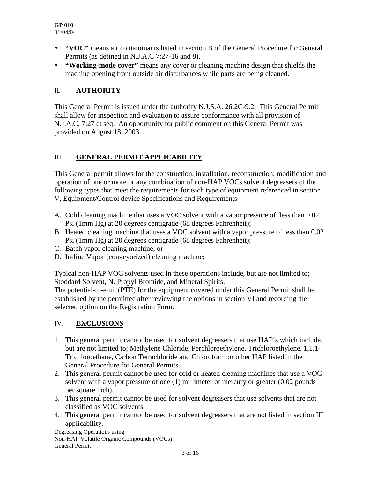- **"VOC"** means air contaminants listed in section B of the General Procedure for General Permits (as defined in N.J.A.C 7:27-16 and 8).
- **"Working-mode cover"** means any cover or cleaning machine design that shields the machine opening from outside air disturbances while parts are being cleaned.

#### II. **AUTHORITY**

This General Permit is issued under the authority N.J.S.A. 26:2C-9.2. This General Permit shall allow for inspection and evaluation to assure conformance with all provision of N.J.A.C. 7:27 et seq. An opportunity for public comment on this General Permit was provided on August 18, 2003.

#### III. **GENERAL PERMIT APPLICABILITY**

This General permit allows for the construction, installation, reconstruction, modification and operation of one or more or any combination of non-HAP VOCs solvent degreasers of the following types that meet the requirements for each type of equipment referenced in section V, Equipment/Control device Specifications and Requirements:

- A. Cold cleaning machine that uses a VOC solvent with a vapor pressure of less than 0.02 Psi (1mm Hg) at 20 degrees centigrade (68 degrees Fahrenheit);
- B. Heated cleaning machine that uses a VOC solvent with a vapor pressure of less than 0.02 Psi (1mm Hg) at 20 degrees centigrade (68 degrees Fahrenheit);
- C. Batch vapor cleaning machine; or
- D. In-line Vapor (conveyorized) cleaning machine;

Typical non-HAP VOC solvents used in these operations include, but are not limited to; Stoddard Solvent, N. Propyl Bromide, and Mineral Spirits.

The potential-to-emit (PTE) for the equipment covered under this General Permit shall be established by the permittee after reviewing the options in section VI and recording the selected option on the Registration Form.

### IV. **EXCLUSIONS**

- 1. This general permit cannot be used for solvent degreasers that use HAP's which include, but are not limited to; Methylene Chloride, Perchloroethylene, Trichloroethylene, 1,1,1- Trichloroethane, Carbon Tetrachloride and Chloroform or other HAP listed in the General Procedure for General Permits.
- 2. This general permit cannot be used for cold or heated cleaning machines that use a VOC solvent with a vapor pressure of one (1) millimeter of mercury or greater (0.02 pounds per square inch).
- 3. This general permit cannot be used for solvent degreasers that use solvents that are not classified as VOC solvents.
- 4. This general permit cannot be used for solvent degreasers that are not listed in section III applicability.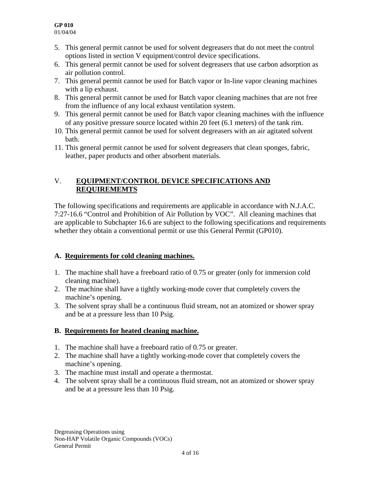- 5. This general permit cannot be used for solvent degreasers that do not meet the control options listed in section V equipment/control device specifications.
- 6. This general permit cannot be used for solvent degreasers that use carbon adsorption as air pollution control.
- 7. This general permit cannot be used for Batch vapor or In-line vapor cleaning machines with a lip exhaust.
- 8. This general permit cannot be used for Batch vapor cleaning machines that are not free from the influence of any local exhaust ventilation system.
- 9. This general permit cannot be used for Batch vapor cleaning machines with the influence of any positive pressure source located within 20 feet (6.1 meters) of the tank rim.
- 10. This general permit cannot be used for solvent degreasers with an air agitated solvent bath.
- 11. This general permit cannot be used for solvent degreasers that clean sponges, fabric, leather, paper products and other absorbent materials.

#### V. **EQUIPMENT/CONTROL DEVICE SPECIFICATIONS AND REQUIREMEMTS**

The following specifications and requirements are applicable in accordance with N.J.A.C. 7:27-16.6 "Control and Prohibition of Air Pollution by VOC". All cleaning machines that are applicable to Subchapter 16.6 are subject to the following specifications and requirements whether they obtain a conventional permit or use this General Permit (GP010).

### **A. Requirements for cold cleaning machines.**

- 1. The machine shall have a freeboard ratio of 0.75 or greater (only for immersion cold cleaning machine).
- 2. The machine shall have a tightly working-mode cover that completely covers the machine's opening.
- 3. The solvent spray shall be a continuous fluid stream, not an atomized or shower spray and be at a pressure less than 10 Psig.

### **B. Requirements for heated cleaning machine.**

- 1. The machine shall have a freeboard ratio of 0.75 or greater.
- 2. The machine shall have a tightly working-mode cover that completely covers the machine's opening.
- 3. The machine must install and operate a thermostat.
- 4. The solvent spray shall be a continuous fluid stream, not an atomized or shower spray and be at a pressure less than 10 Psig.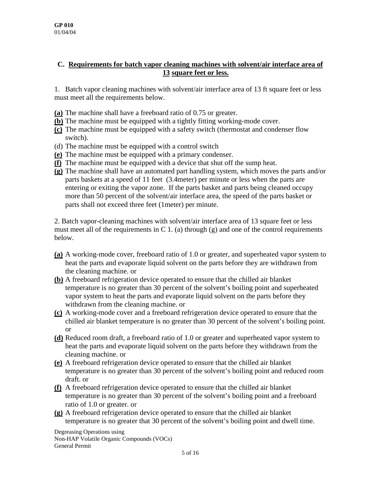#### **C. Requirements for batch vapor cleaning machines with solvent/air interface area of 13 square feet or less.**

1. Batch vapor cleaning machines with solvent/air interface area of 13 ft square feet or less must meet all the requirements below.

- **(a)** The machine shall have a freeboard ratio of 0.75 or greater.
- **(b)** The machine must be equipped with a tightly fitting working-mode cover.
- **(c)** The machine must be equipped with a safety switch (thermostat and condenser flow switch).
- (d) The machine must be equipped with a control switch
- **(e)** The machine must be equipped with a primary condenser.
- **(f)** The machine must be equipped with a device that shut off the sump heat.
- **(g)** The machine shall have an automated part handling system, which moves the parts and/or parts baskets at a speed of 11 feet (3.4meter) per minute or less when the parts are entering or exiting the vapor zone. If the parts basket and parts being cleaned occupy more than 50 percent of the solvent/air interface area, the speed of the parts basket or parts shall not exceed three feet (1meter) per minute.

2. Batch vapor-cleaning machines with solvent/air interface area of 13 square feet or less must meet all of the requirements in C 1. (a) through  $(g)$  and one of the control requirements below.

- **(a)** A working-mode cover, freeboard ratio of 1.0 or greater, and superheated vapor system to heat the parts and evaporate liquid solvent on the parts before they are withdrawn from the cleaning machine. or
- **(b)** A freeboard refrigeration device operated to ensure that the chilled air blanket temperature is no greater than 30 percent of the solvent's boiling point and superheated vapor system to heat the parts and evaporate liquid solvent on the parts before they withdrawn from the cleaning machine. or
- **(c)** A working-mode cover and a freeboard refrigeration device operated to ensure that the chilled air blanket temperature is no greater than 30 percent of the solvent's boiling point. or
- **(d)** Reduced room draft, a freeboard ratio of 1.0 or greater and superheated vapor system to heat the parts and evaporate liquid solvent on the parts before they withdrawn from the cleaning machine. or
- **(e)** A freeboard refrigeration device operated to ensure that the chilled air blanket temperature is no greater than 30 percent of the solvent's boiling point and reduced room draft. or
- **(f)** A freeboard refrigeration device operated to ensure that the chilled air blanket temperature is no greater than 30 percent of the solvent's boiling point and a freeboard ratio of 1.0 or greater. or
- **(g)** A freeboard refrigeration device operated to ensure that the chilled air blanket temperature is no greater that 30 percent of the solvent's boiling point and dwell time.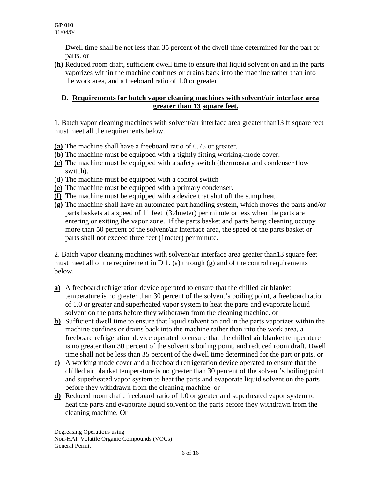Dwell time shall be not less than 35 percent of the dwell time determined for the part or parts. or

**(h)** Reduced room draft, sufficient dwell time to ensure that liquid solvent on and in the parts vaporizes within the machine confines or drains back into the machine rather than into the work area, and a freeboard ratio of 1.0 or greater.

#### **D. Requirements for batch vapor cleaning machines with solvent/air interface area greater than 13 square feet.**

1. Batch vapor cleaning machines with solvent/air interface area greater than13 ft square feet must meet all the requirements below.

- **(a)** The machine shall have a freeboard ratio of 0.75 or greater.
- **(b)** The machine must be equipped with a tightly fitting working-mode cover.
- **(c)** The machine must be equipped with a safety switch (thermostat and condenser flow switch).
- (d) The machine must be equipped with a control switch
- **(e)** The machine must be equipped with a primary condenser.
- **(f)** The machine must be equipped with a device that shut off the sump heat.
- **(g)** The machine shall have an automated part handling system, which moves the parts and/or parts baskets at a speed of 11 feet (3.4meter) per minute or less when the parts are entering or exiting the vapor zone. If the parts basket and parts being cleaning occupy more than 50 percent of the solvent/air interface area, the speed of the parts basket or parts shall not exceed three feet (1meter) per minute.

2. Batch vapor cleaning machines with solvent/air interface area greater than13 square feet must meet all of the requirement in  $D_1$ . (a) through (g) and of the control requirements below.

- **a)** A freeboard refrigeration device operated to ensure that the chilled air blanket temperature is no greater than 30 percent of the solvent's boiling point, a freeboard ratio of 1.0 or greater and superheated vapor system to heat the parts and evaporate liquid solvent on the parts before they withdrawn from the cleaning machine. or
- **b)** Sufficient dwell time to ensure that liquid solvent on and in the parts vaporizes within the machine confines or drains back into the machine rather than into the work area, a freeboard refrigeration device operated to ensure that the chilled air blanket temperature is no greater than 30 percent of the solvent's boiling point, and reduced room draft. Dwell time shall not be less than 35 percent of the dwell time determined for the part or pats. or
- **c)** A working mode cover and a freeboard refrigeration device operated to ensure that the chilled air blanket temperature is no greater than 30 percent of the solvent's boiling point and superheated vapor system to heat the parts and evaporate liquid solvent on the parts before they withdrawn from the cleaning machine. or
- **d)** Reduced room draft, freeboard ratio of 1.0 or greater and superheated vapor system to heat the parts and evaporate liquid solvent on the parts before they withdrawn from the cleaning machine. Or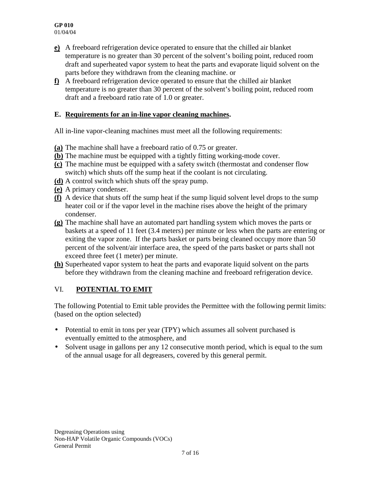- **e)** A freeboard refrigeration device operated to ensure that the chilled air blanket temperature is no greater than 30 percent of the solvent's boiling point, reduced room draft and superheated vapor system to heat the parts and evaporate liquid solvent on the parts before they withdrawn from the cleaning machine. or
- **f)** A freeboard refrigeration device operated to ensure that the chilled air blanket temperature is no greater than 30 percent of the solvent's boiling point, reduced room draft and a freeboard ratio rate of 1.0 or greater.

#### **E. Requirements for an in-line vapor cleaning machines.**

All in-line vapor-cleaning machines must meet all the following requirements:

- **(a)** The machine shall have a freeboard ratio of 0.75 or greater.
- **(b)** The machine must be equipped with a tightly fitting working-mode cover.
- **(c)** The machine must be equipped with a safety switch (thermostat and condenser flow switch) which shuts off the sump heat if the coolant is not circulating.
- **(d)** A control switch which shuts off the spray pump.
- **(e)** A primary condenser.
- **(f)** A device that shuts off the sump heat if the sump liquid solvent level drops to the sump heater coil or if the vapor level in the machine rises above the height of the primary condenser.
- **(g)** The machine shall have an automated part handling system which moves the parts or baskets at a speed of 11 feet (3.4 meters) per minute or less when the parts are entering or exiting the vapor zone. If the parts basket or parts being cleaned occupy more than 50 percent of the solvent/air interface area, the speed of the parts basket or parts shall not exceed three feet (1 meter) per minute.
- **(h)** Superheated vapor system to heat the parts and evaporate liquid solvent on the parts before they withdrawn from the cleaning machine and freeboard refrigeration device.

### VI. **POTENTIAL TO EMIT**

The following Potential to Emit table provides the Permittee with the following permit limits: (based on the option selected)

- Potential to emit in tons per year (TPY) which assumes all solvent purchased is eventually emitted to the atmosphere, and
- Solvent usage in gallons per any 12 consecutive month period, which is equal to the sum of the annual usage for all degreasers, covered by this general permit.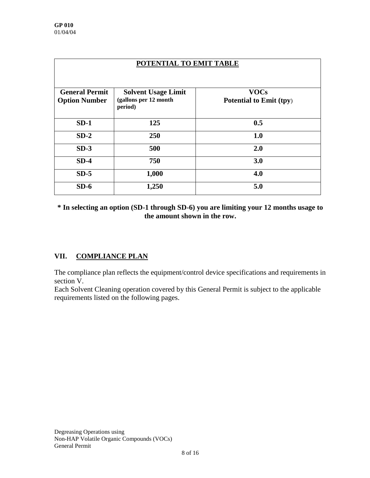| POTENTIAL TO EMIT TABLE                       |                                                                |                                        |  |
|-----------------------------------------------|----------------------------------------------------------------|----------------------------------------|--|
| <b>General Permit</b><br><b>Option Number</b> | <b>Solvent Usage Limit</b><br>(gallons per 12 month<br>period) | <b>VOCs</b><br>Potential to Emit (tpy) |  |
| $SD-1$                                        | 125                                                            | 0.5                                    |  |
| $SD-2$                                        | 250                                                            | 1.0                                    |  |
| $SD-3$                                        | 500                                                            | 2.0                                    |  |
| $SD-4$                                        | 750                                                            | 3.0                                    |  |
| $SD-5$                                        | 1,000                                                          | 4.0                                    |  |
| $SD-6$                                        | 1,250                                                          | 5.0                                    |  |

**\* In selecting an option (SD-1 through SD-6) you are limiting your 12 months usage to the amount shown in the row.**

### **VII. COMPLIANCE PLAN**

The compliance plan reflects the equipment/control device specifications and requirements in section V.

Each Solvent Cleaning operation covered by this General Permit is subject to the applicable requirements listed on the following pages.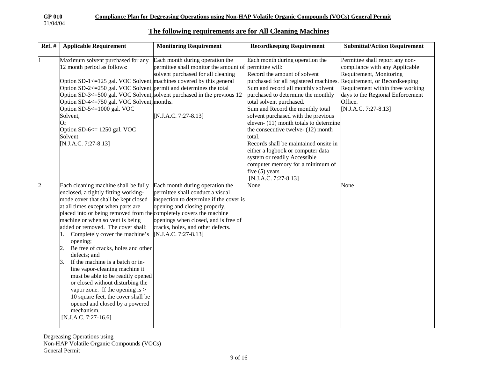#### **The following requirements are for All Cleaning Machines**

| <b>Ref.</b> # | <b>Applicable Requirement</b>                                                                                                                                                                                                                                                                                                                                                                                                                                                                                                                                                                                                                                                                                                          | <b>Monitoring Requirement</b>                                                                                                                                                                                                                        | <b>Recordkeeping Requirement</b>                                                                                                                                                                                                                                                                                                                                                                                                                                                                                                                                                                                   | <b>Submittal/Action Requirement</b>                                                                                                                                                                     |
|---------------|----------------------------------------------------------------------------------------------------------------------------------------------------------------------------------------------------------------------------------------------------------------------------------------------------------------------------------------------------------------------------------------------------------------------------------------------------------------------------------------------------------------------------------------------------------------------------------------------------------------------------------------------------------------------------------------------------------------------------------------|------------------------------------------------------------------------------------------------------------------------------------------------------------------------------------------------------------------------------------------------------|--------------------------------------------------------------------------------------------------------------------------------------------------------------------------------------------------------------------------------------------------------------------------------------------------------------------------------------------------------------------------------------------------------------------------------------------------------------------------------------------------------------------------------------------------------------------------------------------------------------------|---------------------------------------------------------------------------------------------------------------------------------------------------------------------------------------------------------|
| l1            | Maximum solvent purchased for any<br>12 month period as follows:<br>Option SD-1 $\le$ =125 gal. VOC Solvent, machines covered by this general<br>Option SD-2<=250 gal. VOC Solvent, permit and determines the total<br>Option SD-3<=500 gal. VOC Solvent, solvent purchased in the previous 12<br>Option SD-4<=750 gal. VOC Solvent, months.<br>Option SD-5 <= 1000 gal. VOC<br>Solvent,<br>Or<br>Option SD-6 <= 1250 gal. VOC<br>Solvent<br>[N.J.A.C. 7:27-8.13]                                                                                                                                                                                                                                                                      | Each month during operation the<br>permittee shall monitor the amount of permittee will:<br>solvent purchased for all cleaning<br>[N.J.A.C. 7:27-8.13]                                                                                               | Each month during operation the<br>Record the amount of solvent<br>purchased for all registered machines. Requirement, or Recordkeeping<br>Sum and record all monthly solvent<br>purchased to determine the monthly<br>total solvent purchased.<br>Sum and Record the monthly total<br>solvent purchased with the previous<br>eleven- (11) month totals to determine<br>the consecutive twelve- (12) month<br>total.<br>Records shall be maintained onsite in<br>either a logbook or computer data<br>system or readily Accessible<br>computer memory for a minimum of<br>five $(5)$ years<br>[N.J.A.C. 7:27-8.13] | Permittee shall report any non-<br>compliance with any Applicable<br>Requirement, Monitoring<br>Requirement within three working<br>days to the Regional Enforcement<br>Office.<br>[N.J.A.C. 7:27-8.13] |
| 2             | Each cleaning machine shall be fully<br>enclosed, a tightly fitting working-<br>mode cover that shall be kept closed<br>at all times except when parts are<br>placed into or being removed from the completely covers the machine<br>machine or when solvent is being<br>added or removed. The cover shall:<br>Completely cover the machine's<br>11.<br>opening;<br>Be free of cracks, holes and other<br>2.<br>defects; and<br>If the machine is a batch or in-<br>3.<br>line vapor-cleaning machine it<br>must be able to be readily opened<br>or closed without disturbing the<br>vapor zone. If the opening is $>$<br>10 square feet, the cover shall be<br>opened and closed by a powered<br>mechanism.<br>$[N.J.A.C. 7:27-16.6]$ | Each month during operation the<br>permittee shall conduct a visual<br>inspection to determine if the cover is<br>opening and closing properly,<br>openings when closed, and is free of<br>cracks, holes, and other defects.<br>[N.J.A.C. 7:27-8.13] | None                                                                                                                                                                                                                                                                                                                                                                                                                                                                                                                                                                                                               | None                                                                                                                                                                                                    |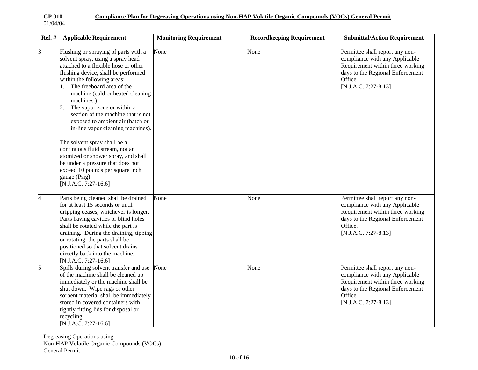$\Gamma$ 

| $Ref. \#$ | <b>Applicable Requirement</b>                                                                                                                                                                                                                                                                                                                                                                                                                                                                                                                                                                                                                                     | <b>Monitoring Requirement</b> | <b>Recordkeeping Requirement</b> | <b>Submittal/Action Requirement</b>                                                                                                                                          |
|-----------|-------------------------------------------------------------------------------------------------------------------------------------------------------------------------------------------------------------------------------------------------------------------------------------------------------------------------------------------------------------------------------------------------------------------------------------------------------------------------------------------------------------------------------------------------------------------------------------------------------------------------------------------------------------------|-------------------------------|----------------------------------|------------------------------------------------------------------------------------------------------------------------------------------------------------------------------|
| 3         | Flushing or spraying of parts with a<br>solvent spray, using a spray head<br>attached to a flexible hose or other<br>flushing device, shall be performed<br>within the following areas:<br>The freeboard area of the<br>machine (cold or heated cleaning<br>machines.)<br>The vapor zone or within a<br>$\overline{c}$<br>section of the machine that is not<br>exposed to ambient air (batch or<br>in-line vapor cleaning machines).<br>The solvent spray shall be a<br>continuous fluid stream, not an<br>atomized or shower spray, and shall<br>be under a pressure that does not<br>exceed 10 pounds per square inch<br>gauge (Psig).<br>[N.J.A.C. 7:27-16.6] | None                          | None                             | Permittee shall report any non-<br>compliance with any Applicable<br>Requirement within three working<br>days to the Regional Enforcement<br>Office.<br>[N.J.A.C. 7:27-8.13] |
| 4         | Parts being cleaned shall be drained<br>for at least 15 seconds or until<br>dripping ceases, whichever is longer.<br>Parts having cavities or blind holes<br>shall be rotated while the part is<br>draining. During the draining, tipping<br>or rotating, the parts shall be<br>positioned so that solvent drains<br>directly back into the machine.<br>[N.J.A.C. 7:27-16.6]                                                                                                                                                                                                                                                                                      | None                          | None                             | Permittee shall report any non-<br>compliance with any Applicable<br>Requirement within three working<br>days to the Regional Enforcement<br>Office.<br>[N.J.A.C. 7:27-8.13] |
| 5         | Spills during solvent transfer and use<br>of the machine shall be cleaned up<br>immediately or the machine shall be<br>shut down. Wipe rags or other<br>sorbent material shall be immediately<br>stored in covered containers with<br>tightly fitting lids for disposal or<br>recycling.<br>[N.J.A.C. 7:27-16.6]                                                                                                                                                                                                                                                                                                                                                  | None                          | None                             | Permittee shall report any non-<br>compliance with any Applicable<br>Requirement within three working<br>days to the Regional Enforcement<br>Office.<br>[N.J.A.C. 7:27-8.13] |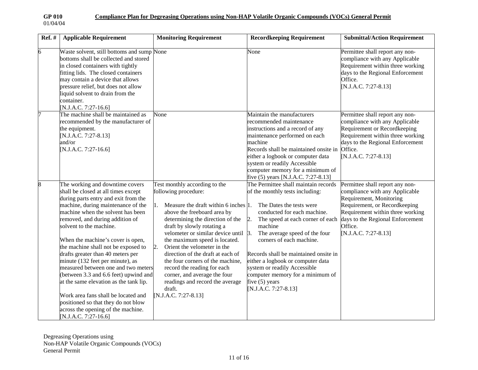| <b>Ref.</b> # | <b>Applicable Requirement</b>                                                                                                                                                                                                                                                                                                                                                                                                                                                                                                                                                                                                                                                      | <b>Monitoring Requirement</b>                                                                                                                                                                                                                                                                                                                                                                                                                                                                                                                 | <b>Recordkeeping Requirement</b>                                                                                                                                                                                                                                                                                                                                                                                                                   | <b>Submittal/Action Requirement</b>                                                                                                                                                                                                      |
|---------------|------------------------------------------------------------------------------------------------------------------------------------------------------------------------------------------------------------------------------------------------------------------------------------------------------------------------------------------------------------------------------------------------------------------------------------------------------------------------------------------------------------------------------------------------------------------------------------------------------------------------------------------------------------------------------------|-----------------------------------------------------------------------------------------------------------------------------------------------------------------------------------------------------------------------------------------------------------------------------------------------------------------------------------------------------------------------------------------------------------------------------------------------------------------------------------------------------------------------------------------------|----------------------------------------------------------------------------------------------------------------------------------------------------------------------------------------------------------------------------------------------------------------------------------------------------------------------------------------------------------------------------------------------------------------------------------------------------|------------------------------------------------------------------------------------------------------------------------------------------------------------------------------------------------------------------------------------------|
| 6             | Waste solvent, still bottoms and sump None<br>bottoms shall be collected and stored<br>in closed containers with tightly<br>fitting lids. The closed containers<br>may contain a device that allows<br>pressure relief, but does not allow<br>liquid solvent to drain from the<br>container.<br>N.J.A.C. 7:27-16.6]                                                                                                                                                                                                                                                                                                                                                                |                                                                                                                                                                                                                                                                                                                                                                                                                                                                                                                                               | None                                                                                                                                                                                                                                                                                                                                                                                                                                               | Permittee shall report any non-<br>compliance with any Applicable<br>Requirement within three working<br>days to the Regional Enforcement<br>Office.<br>[N.J.A.C. 7:27-8.13]                                                             |
|               | The machine shall be maintained as<br>recommended by the manufacturer of<br>the equipment.<br>[N.J.A.C. 7:27-8.13]<br>and/or<br>N.J.A.C. 7:27-16.6]                                                                                                                                                                                                                                                                                                                                                                                                                                                                                                                                | None                                                                                                                                                                                                                                                                                                                                                                                                                                                                                                                                          | Maintain the manufacturers<br>recommended maintenance<br>instructions and a record of any<br>maintenance performed on each<br>machine<br>Records shall be maintained onsite in<br>either a logbook or computer data<br>system or readily Accessible<br>computer memory for a minimum of<br>five (5) years [N.J.A.C. 7:27-8.13]                                                                                                                     | Permittee shall report any non-<br>compliance with any Applicable<br>Requirement or Recordkeeping<br>Requirement within three working<br>days to the Regional Enforcement<br>Office.<br>[N.J.A.C. 7:27-8.13]                             |
| 8             | The working and downtime covers<br>shall be closed at all times except<br>during parts entry and exit from the<br>machine, during maintenance of the<br>machine when the solvent has been<br>removed, and during addition of<br>solvent to the machine.<br>When the machine's cover is open,<br>the machine shall not be exposed to<br>drafts greater than 40 meters per<br>minute (132 feet per minute), as<br>measured between one and two meters<br>(between 3.3 and 6.6 feet) upwind and<br>at the same elevation as the tank lip.<br>Work area fans shall be located and<br>positioned so that they do not blow<br>across the opening of the machine.<br>[N.J.A.C. 7:27-16.6] | Test monthly according to the<br>following procedure:<br>1.<br>Measure the draft within 6 inches 1.<br>above the freeboard area by<br>determining the direction of the<br>draft by slowly rotating a<br>velometer or similar device until 3.<br>the maximum speed is located.<br>$\overline{2}$ .<br>Orient the velometer in the<br>direction of the draft at each of<br>the four corners of the machine,<br>record the reading for each<br>corner, and average the four<br>readings and record the average<br>draft.<br>[N.J.A.C. 7:27-8.13] | The Permittee shall maintain records<br>of the monthly tests including:<br>The Dates the tests were<br>conducted for each machine.<br>2.<br>The speed at each corner of each<br>machine<br>The average speed of the four<br>corners of each machine.<br>Records shall be maintained onsite in<br>either a logbook or computer data<br>system or readily Accessible<br>computer memory for a minimum of<br>five $(5)$ years<br>[N.J.A.C. 7:27-8.13] | Permittee shall report any non-<br>compliance with any Applicable<br>Requirement, Monitoring<br>Requirement, or Recordkeeping<br>Requirement within three working<br>days to the Regional Enforcement<br>Office.<br>[N.J.A.C. 7:27-8.13] |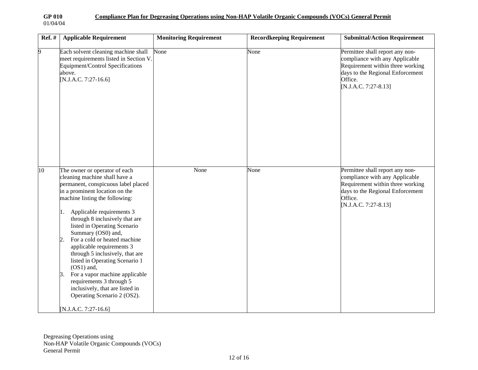| <b>Ref.</b> # | <b>Applicable Requirement</b>                                                                                                                                                                                                                                                                                                                                                                                                                                                                                                                                                                                        | <b>Monitoring Requirement</b> | <b>Recordkeeping Requirement</b> | <b>Submittal/Action Requirement</b>                                                                                                                                          |
|---------------|----------------------------------------------------------------------------------------------------------------------------------------------------------------------------------------------------------------------------------------------------------------------------------------------------------------------------------------------------------------------------------------------------------------------------------------------------------------------------------------------------------------------------------------------------------------------------------------------------------------------|-------------------------------|----------------------------------|------------------------------------------------------------------------------------------------------------------------------------------------------------------------------|
| 9             | Each solvent cleaning machine shall<br>meet requirements listed in Section V.<br>Equipment/Control Specifications<br>above.<br>[N.J.A.C. 7:27-16.6]                                                                                                                                                                                                                                                                                                                                                                                                                                                                  | None                          | None                             | Permittee shall report any non-<br>compliance with any Applicable<br>Requirement within three working<br>days to the Regional Enforcement<br>Office.<br>[N.J.A.C. 7:27-8.13] |
| 10            | The owner or operator of each<br>cleaning machine shall have a<br>permanent, conspicuous label placed<br>in a prominent location on the<br>machine listing the following:<br>Applicable requirements 3<br>through 8 inclusively that are<br>listed in Operating Scenario<br>Summary (OS0) and,<br>For a cold or heated machine<br>2.<br>applicable requirements 3<br>through 5 inclusively, that are<br>listed in Operating Scenario 1<br>$(OS1)$ and,<br>For a vapor machine applicable<br>3.<br>requirements 3 through 5<br>inclusively, that are listed in<br>Operating Scenario 2 (OS2).<br>[N.J.A.C. 7:27-16.6] | None                          | None                             | Permittee shall report any non-<br>compliance with any Applicable<br>Requirement within three working<br>days to the Regional Enforcement<br>Office.<br>[N.J.A.C. 7:27-8.13] |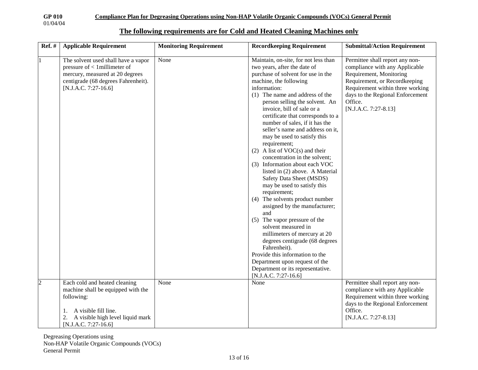**GP 010 Compliance Plan for Degreasing Operations using Non-HAP Volatile Organic Compounds (VOCs) General Permit**

**The following requirements are for Cold and Heated Cleaning Machines only**

| <b>Ref.</b> #  | <b>Applicable Requirement</b>                                                                                                                                              | <b>Monitoring Requirement</b> | <b>Recordkeeping Requirement</b>                                                                                                                                                                                                                                                                                                                                                                                                                                                                                                                                                                                                                                                                                                                                                                                                                                                                                                                                                                | <b>Submittal/Action Requirement</b>                                                                                                                                                                                                      |
|----------------|----------------------------------------------------------------------------------------------------------------------------------------------------------------------------|-------------------------------|-------------------------------------------------------------------------------------------------------------------------------------------------------------------------------------------------------------------------------------------------------------------------------------------------------------------------------------------------------------------------------------------------------------------------------------------------------------------------------------------------------------------------------------------------------------------------------------------------------------------------------------------------------------------------------------------------------------------------------------------------------------------------------------------------------------------------------------------------------------------------------------------------------------------------------------------------------------------------------------------------|------------------------------------------------------------------------------------------------------------------------------------------------------------------------------------------------------------------------------------------|
| $\mathbf{1}$   | The solvent used shall have a vapor<br>pressure of $< 1$ millimeter of<br>mercury, measured at 20 degrees<br>centigrade (68 degrees Fahrenheit).<br>$[N.J.A.C. 7:27-16.6]$ | None                          | Maintain, on-site, for not less than<br>two years, after the date of<br>purchase of solvent for use in the<br>machine, the following<br>information:<br>(1) The name and address of the<br>person selling the solvent. An<br>invoice, bill of sale or a<br>certificate that corresponds to a<br>number of sales, if it has the<br>seller's name and address on it,<br>may be used to satisfy this<br>requirement;<br>$(2)$ A list of VOC(s) and their<br>concentration in the solvent;<br>(3) Information about each VOC<br>listed in (2) above. A Material<br>Safety Data Sheet (MSDS)<br>may be used to satisfy this<br>requirement;<br>(4) The solvents product number<br>assigned by the manufacturer;<br>and<br>(5) The vapor pressure of the<br>solvent measured in<br>millimeters of mercury at 20<br>degrees centigrade (68 degrees<br>Fahrenheit).<br>Provide this information to the<br>Department upon request of the<br>Department or its representative.<br>$[N.J.A.C. 7:27-16.6]$ | Permittee shall report any non-<br>compliance with any Applicable<br>Requirement, Monitoring<br>Requirement, or Recordkeeping<br>Requirement within three working<br>days to the Regional Enforcement<br>Office.<br>[N.J.A.C. 7:27-8.13] |
| $\overline{c}$ | Each cold and heated cleaning<br>machine shall be equipped with the<br>following:<br>A visible fill line.<br>A visible high level liquid mark<br>[N.J.A.C. 7:27-16.6]      | None                          | None                                                                                                                                                                                                                                                                                                                                                                                                                                                                                                                                                                                                                                                                                                                                                                                                                                                                                                                                                                                            | Permittee shall report any non-<br>compliance with any Applicable<br>Requirement within three working<br>days to the Regional Enforcement<br>Office.<br>[N.J.A.C. 7:27-8.13]                                                             |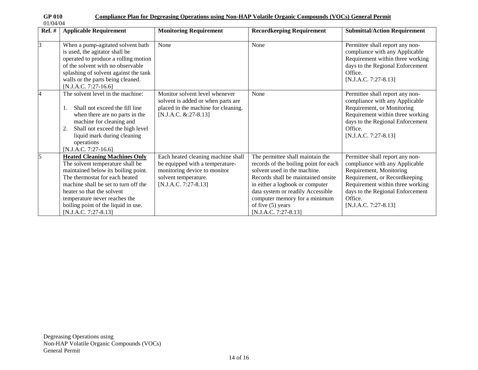| ul viv   |  |
|----------|--|
| 01/04/04 |  |

| $Ref. \#$      | <b>Applicable Requirement</b>                                                                                                                                                                                                                                                                                             | <b>Monitoring Requirement</b>                                                                                                                           | <b>Recordkeeping Requirement</b>                                                                                                                                                                                                                                                                          | <b>Submittal/Action Requirement</b>                                                                                                                                                                                                        |
|----------------|---------------------------------------------------------------------------------------------------------------------------------------------------------------------------------------------------------------------------------------------------------------------------------------------------------------------------|---------------------------------------------------------------------------------------------------------------------------------------------------------|-----------------------------------------------------------------------------------------------------------------------------------------------------------------------------------------------------------------------------------------------------------------------------------------------------------|--------------------------------------------------------------------------------------------------------------------------------------------------------------------------------------------------------------------------------------------|
| $\overline{3}$ | When a pump-agitated solvent bath<br>is used, the agitator shall be<br>operated to produce a rolling motion<br>of the solvent with no observable<br>splashing of solvent against the tank<br>walls or the parts being cleaned.<br>$[N.J.A.C. 7:27-16.6]$                                                                  | None                                                                                                                                                    | None                                                                                                                                                                                                                                                                                                      | Permittee shall report any non-<br>compliance with any Applicable<br>Requirement within three working<br>days to the Regional Enforcement<br>Office.<br>$[N.J.A.C. 7:27-8.13]$                                                             |
| 14             | The solvent level in the machine:<br>Shall not exceed the fill line<br>when there are no parts in the<br>machine for cleaning and<br>Shall not exceed the high level<br>2.<br>liquid mark during cleaning<br>operations<br>$[N.J.A.C. 7:27-16.6]$                                                                         | Monitor solvent level whenever<br>solvent is added or when parts are<br>placed in the machine for cleaning.<br>$[N.J.A.C. & 27-8.13]$                   | None                                                                                                                                                                                                                                                                                                      | Permittee shall report any non-<br>compliance with any Applicable<br>Requirement, or Monitoring<br>Requirement within three working<br>days to the Regional Enforcement<br>Office.<br>$[N.J.A.C. 7:27-8.13]$                               |
| 5              | <b>Heated Cleaning Machines Only</b><br>The solvent temperature shall be<br>maintained below its boiling point.<br>The thermostat for each heated<br>machine shall be set to turn off the<br>heater so that the solvent<br>temperature never reaches the<br>boiling point of the liquid in use.<br>$[N.J.A.C. 7:27-8.13]$ | Each heated cleaning machine shall<br>be equipped with a temperature-<br>monitoring device to monitor<br>solvent temperature.<br>$[N.J.A.C. 7:27-8.13]$ | The permittee shall maintain the<br>records of the boiling point for each<br>solvent used in the machine.<br>Records shall be maintained onsite<br>in either a logbook or computer<br>data system or readily Accessible<br>computer memory for a minimum<br>of five $(5)$ years<br>$[N.J.A.C. 7:27-8.13]$ | Permittee shall report any non-<br>compliance with any Applicable<br>Requirement, Monitoring<br>Requirement, or Recordkeeping<br>Requirement within three working<br>days to the Regional Enforcement<br>Office.<br>$[N.J.A.C. 7:27-8.13]$ |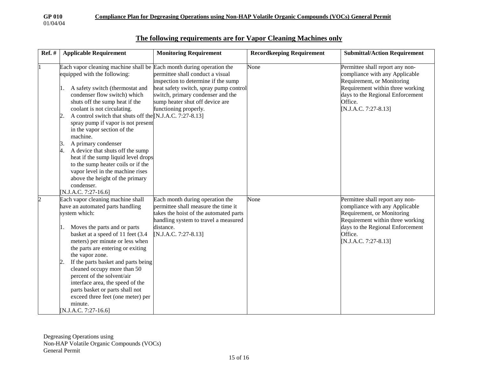| 01/04/04 |  |
|----------|--|
|          |  |

| <b>Ref.</b> #  | <b>Applicable Requirement</b>                                                                                                                               | <b>Monitoring Requirement</b>                                                                                                           | <b>Recordkeeping Requirement</b> | <b>Submittal/Action Requirement</b>                                                                     |
|----------------|-------------------------------------------------------------------------------------------------------------------------------------------------------------|-----------------------------------------------------------------------------------------------------------------------------------------|----------------------------------|---------------------------------------------------------------------------------------------------------|
|                | Each vapor cleaning machine shall be Each month during operation the<br>equipped with the following:                                                        | permittee shall conduct a visual<br>inspection to determine if the sump                                                                 | None                             | Permittee shall report any non-<br>compliance with any Applicable<br>Requirement, or Monitoring         |
|                | A safety switch (thermostat and<br>condenser flow switch) which<br>shuts off the sump heat if the<br>coolant is not circulating.                            | heat safety switch, spray pump control<br>switch, primary condenser and the<br>sump heater shut off device are<br>functioning properly. |                                  | Requirement within three working<br>days to the Regional Enforcement<br>Office.<br>[N.J.A.C. 7:27-8.13] |
|                | A control switch that shuts off the [N.J.A.C. 7:27-8.13]<br>$\overline{2}$<br>spray pump if vapor is not present<br>in the vapor section of the<br>machine. |                                                                                                                                         |                                  |                                                                                                         |
|                | A primary condenser<br>Β.<br>4.<br>A device that shuts off the sump<br>heat if the sump liquid level drops<br>to the sump heater coils or if the            |                                                                                                                                         |                                  |                                                                                                         |
|                | vapor level in the machine rises<br>above the height of the primary<br>condenser.<br>N.J.A.C. 7:27-16.6]                                                    |                                                                                                                                         |                                  |                                                                                                         |
| $\overline{c}$ | Each vapor cleaning machine shall                                                                                                                           | Each month during operation the                                                                                                         | None                             | Permittee shall report any non-                                                                         |
|                | have an automated parts handling                                                                                                                            | permittee shall measure the time it                                                                                                     |                                  | compliance with any Applicable                                                                          |
|                | system which:                                                                                                                                               | takes the hoist of the automated parts                                                                                                  |                                  | Requirement, or Monitoring                                                                              |
|                |                                                                                                                                                             | handling system to travel a measured                                                                                                    |                                  | Requirement within three working                                                                        |
|                | Moves the parts and or parts<br>П.                                                                                                                          | distance.                                                                                                                               |                                  | days to the Regional Enforcement                                                                        |
|                | basket at a speed of 11 feet (3.4                                                                                                                           | [N.J.A.C. 7:27-8.13]                                                                                                                    |                                  | Office.                                                                                                 |
|                | meters) per minute or less when                                                                                                                             |                                                                                                                                         |                                  | [N.J.A.C. 7:27-8.13]                                                                                    |
|                | the parts are entering or exiting                                                                                                                           |                                                                                                                                         |                                  |                                                                                                         |
|                | the vapor zone.                                                                                                                                             |                                                                                                                                         |                                  |                                                                                                         |
|                | If the parts basket and parts being<br>2<br>cleaned occupy more than 50                                                                                     |                                                                                                                                         |                                  |                                                                                                         |
|                | percent of the solvent/air                                                                                                                                  |                                                                                                                                         |                                  |                                                                                                         |
|                | interface area, the speed of the                                                                                                                            |                                                                                                                                         |                                  |                                                                                                         |
|                | parts basket or parts shall not                                                                                                                             |                                                                                                                                         |                                  |                                                                                                         |
|                | exceed three feet (one meter) per                                                                                                                           |                                                                                                                                         |                                  |                                                                                                         |
|                | minute.                                                                                                                                                     |                                                                                                                                         |                                  |                                                                                                         |
|                | [N.J.A.C. 7:27-16.6]                                                                                                                                        |                                                                                                                                         |                                  |                                                                                                         |

#### **The following requirements are for Vapor Cleaning Machines only**